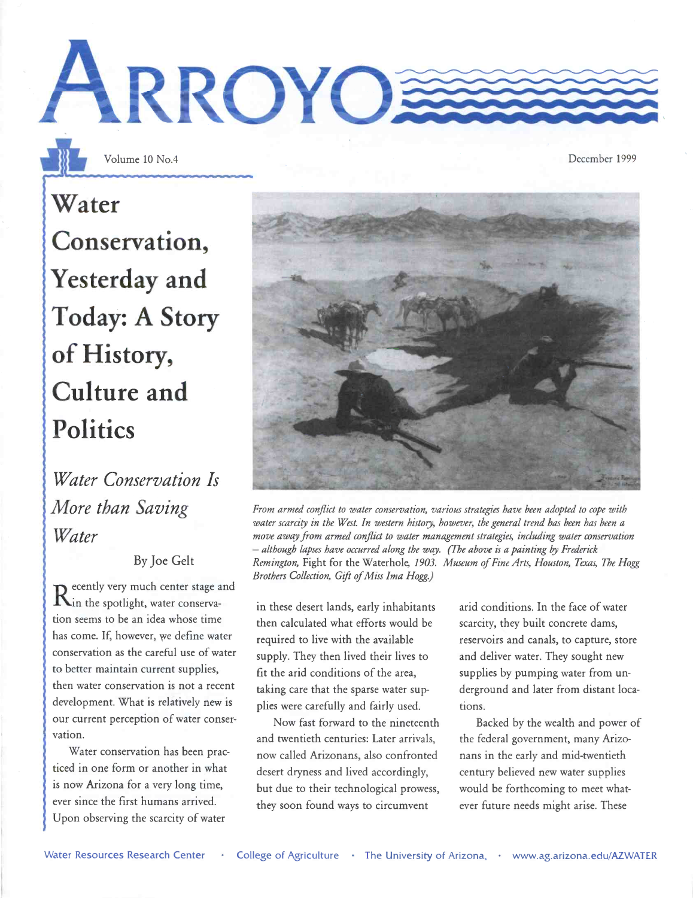

Water Conservation, Yesterday and Today: A Story of History, Culture and **Politics** 

Water Conservation Is More than Saving Water

#### By Joe Gelt

 $K$ in the spotlight, water conservaecently very much center stage and tion seems to be an idea whose time has come. If, however, we define water conservation as the careful use of water to better maintain current supplies, then water conservation is not a recent development. What is relatively new is our current perception of water conservation.

Water conservation has been practiced in one form or another in what is now Arizona for a very long time, ever since the first humans arrived. Upon observing the scarcity of water

From armed conflict to water conservation, various strategies have been adopted to cope with water scarcity in the West. In western history, however, the general trend has been has been a move away from armed conflict to water management strategies, including water conservation - although lapses have occurred along the way. (The above is a painting by Frederick Remington, Fight for the Waterhole, 1903. Museum of Fine Arts, Houston, Texas, The Hogg Brothers Collection, Gift of Miss Ima Hogg.)

in these desert lands, early inhabitants then calculated what efforts would be required to live with the available supply. They then lived their lives to fit the arid conditions of the area, taking care that the sparse water supplies were carefully and fairly used.

Now fast forward to the nineteenth and twentieth centuries: Later arrivals, now called Arizonans, also confronted desert dryness and lived accordingly, but due to their technological prowess, they soon found ways to circumvent

arid conditions. In the face of water scarcity, they built concrete dams, reservoirs and canals, to capture, store and deliver water. They sought new supplies by pumping water from underground and later from distant locations.

Backed by the wealth and power of the federal government, many Arizonans in the early and mid-twentieth century believed new water supplies would be forthcoming to meet whatever future needs might arise. These



ARROYO

Volume 10 No.4 December 1999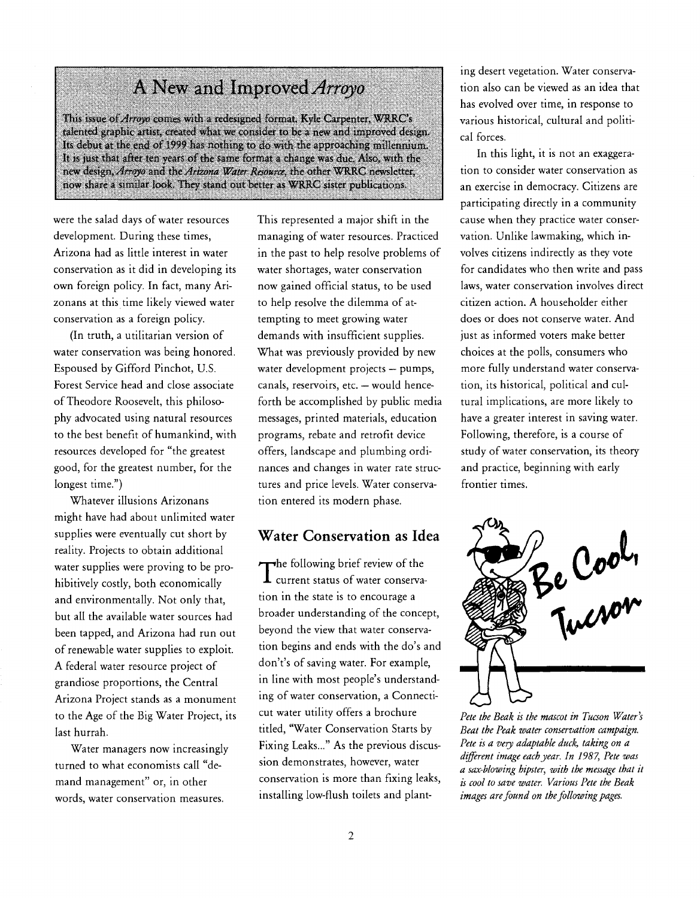## A New and Improved Arroyo

This issue of Arroyo comes with a redesigned format. Kyle Carpenter, WRRC's talented graphic artist, created what we consider to be a new and improved design. Its debut at the end of 1999 has nothing to do with the approaching millennium. It is just that after ten years of the same format a change was due. Also, with the new design, Arroyo and the Arizona Water Resource, the other WRRC newsletter, now share a similar look. They stand out better as WRR.0 sister publications.

were the salad days of water resources development. During these times, Arizona had as little interest in water conservation as it did in developing its own foreign policy. In fact, many Arizonans at this time likely viewed water conservation as a foreign policy.

(In truth, a utilitarian version of water conservation was being honored. Espoused by Gifford Pinchot, U.S. Forest Service head and close associate of Theodore Roosevelt, this philosophy advocated using natural resources to the best benefit of humankind, with resources developed for "the greatest good, for the greatest number, for the longest time.")

Whatever illusions Arizonans might have had about unlimited water supplies were eventually cut short by reality. Projects to obtain additional water supplies were proving to be prohibitively costly, both economically and environmentally. Not only that, but all the available water sources had been tapped, and Arizona had run out of renewable water supplies to exploit. A federal water resource project of grandiose proportions, the Central Arizona Project stands as a monument to the Age of the Big Water Project, its last hurrah.

Water managers now increasingly turned to what economists call "demand management" or, in other words, water conservation measures.

This represented a major shift in the managing of water resources. Practiced in the past to help resolve problems of water shortages, water conservation now gained official status, to be used to help resolve the dilemma of attempting to meet growing water demands with insufficient supplies. What was previously provided by new water development projects - pumps, canals, reservoirs, etc. - would henceforth be accomplished by public media messages, printed materials, education programs, rebate and retrofit device offers, landscape and plumbing ordinances and changes in water rate structures and price levels. Water conservation entered its modern phase.

#### Water Conservation as Idea

 $\mathbf 1$  current status of water conservawhe following brief review of the tion in the state is to encourage a broader understanding of the concept, beyond the view that water conservation begins and ends with the do's and don't's of saving water. For example, in line with most people's understanding of water conservation, a Connecticut water utility offers a brochure titled, "Water Conservation Starts by Fixing Leaks..." As the previous discussion demonstrates, however, water conservation is more than fixing leaks, installing low-flush toilets and planting desert vegetation. Water conservation also can be viewed as an idea that has evolved over time, in response to various historical, cultural and political forces.

In this light, it is not an exaggeration to consider water conservation as an exercise in democracy. Citizens are participating directly in a community cause when they practice water conservation. Unlike lawmaking, which involves citizens indirectly as they vote for candidates who then write and pass laws, water conservation involves direct citizen action. A householder either does or does not conserve water. And just as informed voters make better choices at the polls, consumers who more fully understand water conservation, its historical, political and cultural implications, are more likely to have a greater interest in saving water. Following, therefore, is a course of study of water conservation, its theory and practice, beginning with early frontier times.



Pete the Beak is the mascot in Tucson Water's Beat the Peak water conservation campaiçn. Pete is a very adaptable duck, taking on a different image each year. In 1987, Pete was a sax-blowing hipster, with the message that it is cool to save water. Various Pete the Beak images are found on the following pages.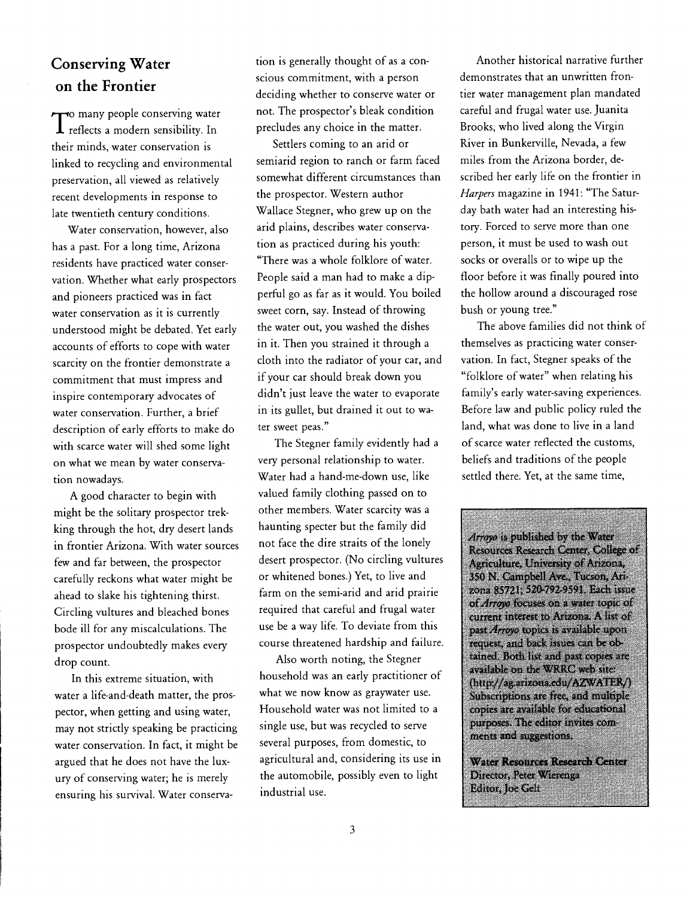### Conserving Water on the Frontier

 $\int$  reflects a modern sensibility. In pro  $\tau$  many people conserving water their minds, water conservation is linked to recycling and environmental preservation, all viewed as relatively recent developments in response to late twentieth century conditions.

Water conservation, however, also has a past. For a long time, Arizona residents have practiced water conservation. Whether what early prospectors and pioneers practiced was in fact water conservation as it is currently understood might be debated. Yet early accounts of efforts to cope with water scarcity on the frontier demonstrate a commitment that must impress and inspire contemporary advocates of water conservation. Further, a brief description of early efforts to make do with scarce water will shed some light on what we mean by water conservation nowadays.

A good character to begin with might be the solitary prospector trekking through the hot, dry desert lands in frontier Arizona. With water sources few and far between, the prospector carefully reckons what water might be ahead to slake his tightening thirst. Circling vultures and bleached bones bode ill for any miscalculations. The prospector undoubtedly makes every drop count.

In this extreme situation, with water a life-and-death matter, the prospector, when getting and using water, may not strictly speaking be practicing water conservation. In fact, it might be argued that he does not have the luxury of conserving water; he is merely ensuring his survival. Water conservation is generally thought of as a conscious commitment, with a person deciding whether to conserve water or not. The prospector's bleak condition precludes any choice in the matter.

Settlers coming to an arid or semiarid region to ranch or farm faced somewhat different circumstances than the prospector. Western author Wallace Stegner, who grew up on the arid plains, describes water conservation as practiced during his youth: "There was a whole folklore of water. People said a man had to make a dipperful go as far as it would. You boiled sweet corn, say. Instead of throwing the water out, you washed the dishes in it. Then you strained it through a cloth into the radiator of your car, and if your car should break down you didn't just leave the water to evaporate in its gullet, but drained it out to water sweet peas."

The Stegner family evidently had a very personal relationship to water. Water had a hand-me-down use, like valued family clothing passed on to other members. Water scarcity was a haunting specter but the family did not face the dire straits of the lonely desert prospector. (No circling vultures or whitened bones.) Yet, to live and farm on the semi-arid and arid prairie required that careful and frugal water use be a way life. To deviate from this past *Arroyo* topics is available upon course threatened hardship and failure.

Also worth noting, the Stegner household was an early practitioner of what we now know as graywater use. Household water was not limited to a single use, but was recycled to serve several purposes, from domestic, to agricultural and, considering its use in the automobile, possibly even to light industrial use.

Another historical narrative further demonstrates that an unwritten frontier water management plan mandated careful and frugal water use. Juanita Brooks, who lived along the Virgin River in Bunkerville, Nevada, a few miles from the Arizona border, described her early life on the frontier in Harpers magazine in 1941: "The Saturday bath water had an interesting history. Forced to serve more than one person, it must be used to wash out socks or overalls or to wipe up the floor before it was finally poured into the hollow around a discouraged rose bush or young tree."

The above families did not think of themselves as practicing water conservation. In fact, Stegner speaks of the "folklore of water" when relating his family's early water-saving experiences. Before law and public policy ruled the land, what was done to live in a land of scarce water reflected the customs, beliefs and traditions of the people settled there. Yet, at the same time,

Arroyo is published by the Water Resources Research Center, College Agriculture, University of Arizona, 350 N. Campbell Ave., Tucson, Arizona 85721; 520-792-9591. Each issue of Arroyo focuses on a water topic of current interest to Arizona. A list of request, and back issues can be obtained. Both list and past copies are available on the WRRC web site: (http://ag.arizona.edu/AZWATER/) Subscriptions are free, and multiple copies are available for educational purposes. The editor invites comments and suggestions.

Water Resources Research Center Director, Peter Wierenga Editor, Joe Gelt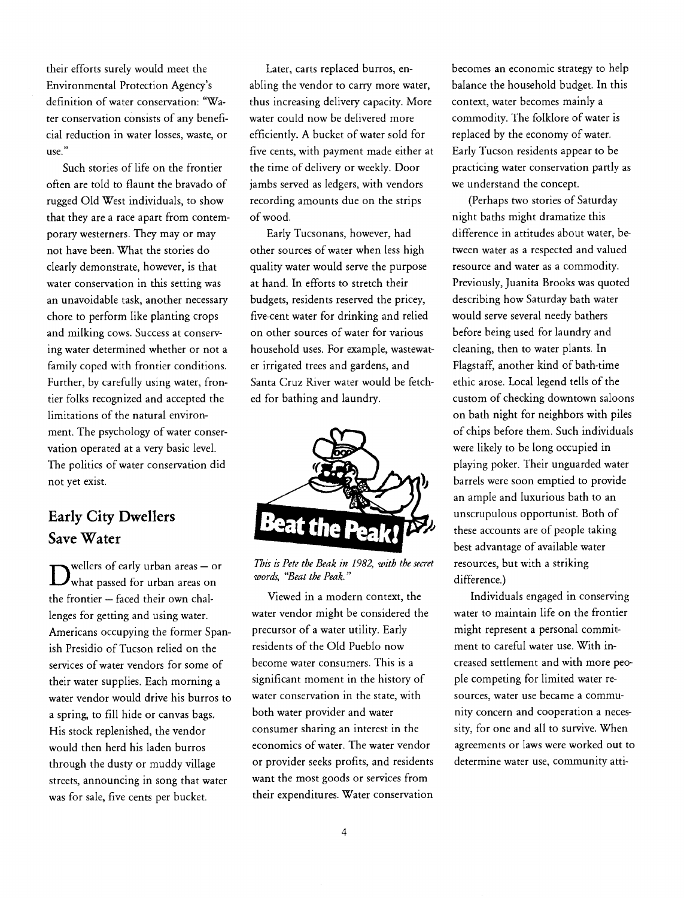their efforts surely would meet the Environmental Protection Agency's definition of water conservation: "Water conservation consists of any beneficial reduction in water losses, waste, or use.

Such stories of life on the frontier often are told to flaunt the bravado of rugged Old West individuals, to show that they are a race apart from contemporary westerners. They may or may not have been. What the stories do clearly demonstrate, however, is that water conservation in this setting was an unavoidable task, another necessary chore to perform like planting crops and milking cows. Success at conserving water determined whether or not a family coped with frontier conditions. Further, by carefully using water, frontier folks recognized and accepted the limitations of the natural environment. The psychology of water conservation operated at a very basic level. The politics of water conservation did not yet exist.

#### Early City Dwellers Save Water

 $\bm{D}$ what passed for urban areas on  $w$ wellers of early urban areas - or the frontier  $-$  faced their own challenges for getting and using water. Americans occupying the former Spanish Presidio of Tucson relied on the services of water vendors for some of their water supplies. Each morning a water vendor would drive his burros to a spring, to fill hide or canvas bags. His stock replenished, the vendor would then herd his laden burros through the dusty or muddy village streets, announcing in song that water was for sale, five cents per bucket.

Later, carts replaced burros, enabling the vendor to carry more water, thus increasing delivery capacity. More water could now be delivered more efficiently. A bucket of water sold for five cents, with payment made either at the time of delivery or weekly. Door jambs served as ledgers, with vendors recording amounts due on the strips of wood.

Early Tucsonans, however, had other sources of water when less high quality water would serve the purpose at hand. In efforts to stretch their budgets, residents reserved the pricey, five-cent water for drinking and relied on other sources of water for various household uses. For example, wastewater irrigated trees and gardens, and Santa Cruz River water would be fetched for bathing and laundry.



This is Pete the Beak in 1982, with the secret words, "Beat the Peak."

Viewed in a modern context, the water vendor might be considered the precursor of a water utility. Early residents of the Old Pueblo now become water consumers. This is a significant moment in the history of water conservation in the state, with both water provider and water consumer sharing an interest in the economics of water. The water vendor or provider seeks profits, and residents want the most goods or services from their expenditures. Water conservation

becomes an economic strategy to help balance the household budget. In this context, water becomes mainly a commodity. The folklore of water is replaced by the economy of water. Early Tucson residents appear to be practicing water conservation partly as we understand the concept.

(Perhaps two stories of Saturday night baths might dramatize this difference in attitudes about water, between water as a respected and valued resource and water as a commodity. Previously, Juanita Brooks was quoted describing how Saturday bath water would serve several needy bathers before being used for laundry and cleaning, then to water plants. In Flagstaff, another kind of bath-time ethic arose. Local legend tells of the custom of checking downtown saloons on bath night for neighbors with piles of chips before them. Such individuals were likely to be long occupied in playing poker. Their unguarded water barrels were soon emptied to provide an ample and luxurious bath to an unscrupulous opportunist. Both of these accounts are of people taking best advantage of available water resources, but with a striking difference.)

Individuals engaged in conserving water to maintain life on the frontier might represent a personal commitment to careful water use. With increased settlement and with more people competing for limited water resources, water use became a community concern and cooperation a necessity, for one and all to survive. When agreements or laws were worked out to determine water use, community atti-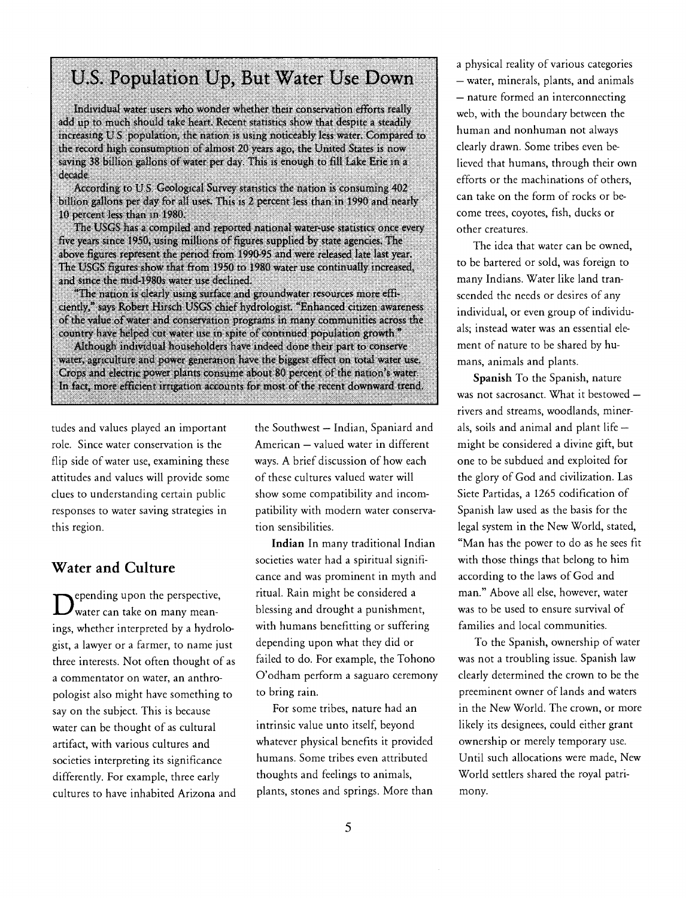# U.S. Population Up, But Water Use Down

Individual water users who wonder whether their conservation efforts really add up to much should take heart. Recent statistics show that despite a steadily mcreasing U.S. population, the nation is using noticeably less water. Compared to the record high consumption of almost 20 years ago, the United States is now saving 38 billion gallons of water per day. This is enough to fill Lake Erie in a decade.

According to U.S. Geological Survey statistics the nation is consuming 402 billion gallons per day for all uses. This is 2 percent less than in 1990 and nearly 10 percent less than in 1980.

The USGS has a compiled and reported national water-use statistics once every five years since 1950, using millions of figures supplied by state agencies. The above figures represent the period from 1990-95 and were released late last year. The USGS figures show that from 1950 to 1980 water use continually increased, and since the mid-i 980s water use declined.

"The nation is clearly using surface and groundwater resources more efficiently," says Robert Hirsch USGS chief hydrologist. "Enhanced citizen awareness of the value of water and conservation programs in many communities across the country have helped cut water use in spite of continued population growth."

Although individual householders have indeed done their part to conserve water, agriculture and power generation have the biggest effect on total water use. Crops and electric power plants consume about 80 percent of the nation's water. In fact, more efficient irrigation accounts for most of the recent downward trend.

tudes and values played an important role. Since water conservation is the flip side of water use, examining these attitudes and values will provide some clues to understanding certain public responses to water saving strategies in this region.

#### Water and Culture

 $\bm{D}$ water can take on many meanepending upon the perspective, ings, whether interpreted by a hydrologist, a lawyer or a farmer, to name just three interests. Not often thought of as a commentator on water, an anthropologist also might have something to say on the subject. This is because water can be thought of as cultural artifact, with various cultures and societies interpreting its significance differently. For example, three early cultures to have inhabited Arizona and the Southwest - Indian, Spaniard and American - valued water in different ways. A brief discussion of how each of these cultures valued water will show some compatibility and incompatibility with modern water conservation sensibilities.

Indian In many traditional Indian societies water had a spiritual significance and was prominent in myth and ritual. Rain might be considered a blessing and drought a punishment, with humans benefitting or suffering depending upon what they did or failed to do. For example, the Tohono O'odham perform a saguaro ceremony to bring rain.

For some tribes, nature had an intrinsic value unto itself, beyond whatever physical benefits it provided humans. Some tribes even attributed thoughts and feelings to animals, plants, stones and springs. More than

a physical reality of various categories - water, minerals, plants, and animals - nature formed an interconnecting web, with the boundary between the human and nonhuman not always clearly drawn. Some tribes even believed that humans, through their own efforts or the machinations of others, can take on the form of rocks or become trees, coyotes, fish, ducks or other creatures.

The idea that water can be owned, to be bartered or sold, was foreign to many Indians. Water like land transcended the needs or desires of any individual, or even group of individuals; instead water was an essential element of nature to be shared by humans, animals and plants.

Spanish To the Spanish, nature was not sacrosanct. What it bestowed rivers and streams, woodlands, minerals, soils and animal and plant life  $$ might be considered a divine gift, but one to be subdued and exploited for the glory of God and civilization. Las Siete Partidas, a 1265 codification of Spanish law used as the basis for the legal system in the New World, stated, "Man has the power to do as he sees fit with those things that belong to him according to the laws of God and man." Above all else, however, water was to be used to ensure survival of families and local communities.

To the Spanish, ownership of water was not a troubling issue. Spanish law clearly determined the crown to be the preeminent owner of lands and waters in the New World. The crown, or more likely its designees, could either grant ownership or merely temporary use. Until such allocations were made, New World settlers shared the royal patrimony.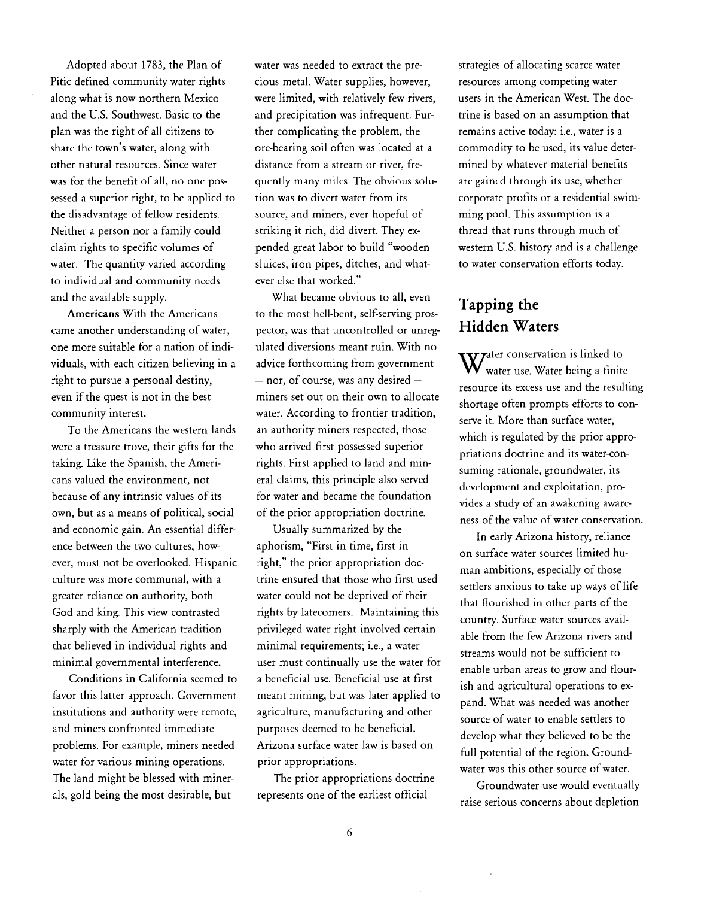Adopted about 1783, the Plan of Pitic defined community water rights along what is now northern Mexico and the U.S. Southwest. Basic to the plan was the right of all citizens to share the town's water, along with other natural resources. Since water was for the benefit of all, no one possessed a superior right, to be applied to the disadvantage of fellow residents. Neither a person nor a family could claim rights to specific volumes of water. The quantity varied according to individual and community needs and the available supply.

Americans With the Americans came another understanding of water, one more suitable for a nation of individuals, with each citizen believing in a right to pursue a personal destiny, even if the quest is not in the best community interest.

To the Americans the western lands were a treasure trove, their gifts for the taking. Like the Spanish, the Americans valued the environment, not because of any intrinsic values of its own, but as a means of political, social and economic gain. An essential difference between the two cultures, however, must not be overlooked. Hispanic culture was more communal, with a greater reliance on authority, both God and king. This view contrasted sharply with the American tradition that believed in individual rights and minimal governmental interference.

Conditions in California seemed to favor this latter approach. Government institutions and authority were remote, and miners confronted immediate problems. For example, miners needed water for various mining operations. The land might be blessed with minerals, gold being the most desirable, but

water was needed to extract the precious metal. Water supplies, however, were limited, with relatively few rivers, and precipitation was infrequent. Further complicating the problem, the ore-bearing soil often was located at a distance from a stream or river, frequently many miles. The obvious solution was to divert water from its source, and miners, ever hopeful of striking it rich, did divert. They expended great labor to build "wooden sluices, iron pipes, ditches, and whatever else that worked."

What became obvious to all, even to the most hell-bent, self-serving prospector, was that uncontrolled or unregulated diversions meant ruin. With no advice forthcoming from government  $-$  nor, of course, was any desired  $$ miners set out on their own to allocate water. According to frontier tradition, an authority miners respected, those who arrived first possessed superior rights. First applied to land and mineral claims, this principle also served for water and became the foundation of the prior appropriation doctrine.

Usually summarized by the aphorism, "First in time, first in right," the prior appropriation doctrine ensured that those who first used water could not be deprived of their rights by latecomers. Maintaining this privileged water right involved certain minimal requirements; i.e., a water user must continually use the water for a beneficial use. Beneficial use at first meant mining, but was later applied to agriculture, manufacturing and other purposes deemed to be beneficial. Arizona surface water law is based on prior appropriations.

The prior appropriations doctrine represents one of the earliest official

strategies of allocating scarce water resources among competing water users in the American West. The doctrine is based on an assumption that remains active today: i.e., water is a commodity to be used, its value determined by whatever material benefits are gained through its use, whether corporate profits or a residential swimming pool. This assumption is a thread that runs through much of western U.S. history and is a challenge to water conservation efforts today.

#### Tapping the Hidden Waters

ter conservation is linked to water use. Water being a finite resource its excess use and the resulting shortage often prompts efforts to conserve it. More than surface water, which is regulated by the prior appropriations doctrine and its water-consuming rationale, groundwater, its development and exploitation, provides a study of an awakening awareness of the value of water conservation.

In early Arizona history, reliance on surface water sources limited human ambitions, especially of those settlers anxious to take up ways of life that flourished in other parts of the country. Surface water sources available from the few Arizona rivers and streams would not be sufficient to enable urban areas to grow and flourish and agricultural operations to expand. What was needed was another source of water to enable settlers to develop what they believed to be the full potential of the region. Groundwater was this other source of water.

Groundwater use would eventually raise serious concerns about depletion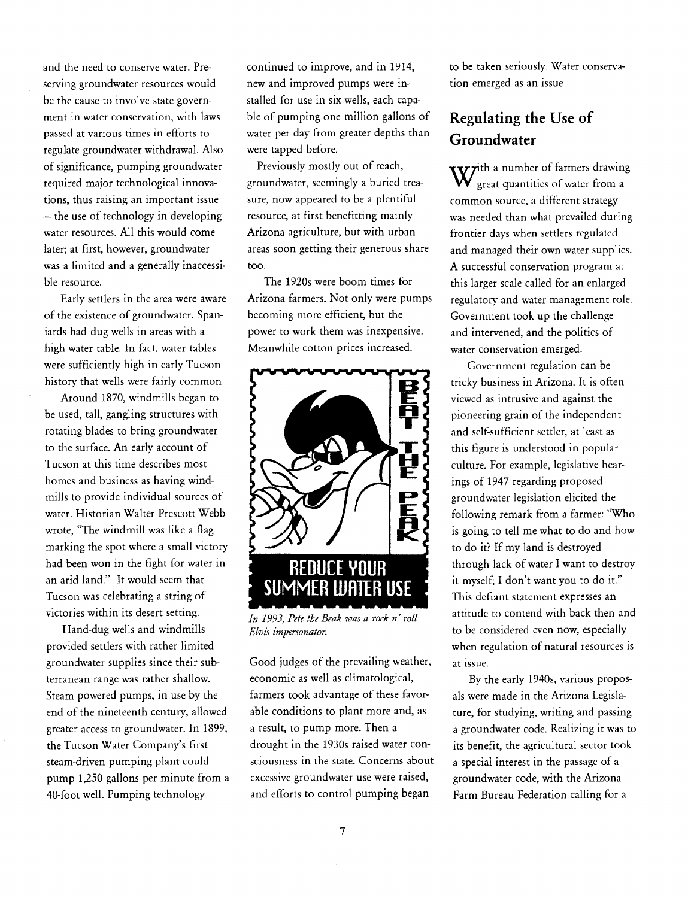and the need to conserve water. Preserving groundwater resources would be the cause to involve state government in water conservation, with laws passed at various times in efforts to regulate groundwater withdrawal. Also of significance, pumping groundwater required major technological innovations, thus raisìng an important issue - the use of technology in developing water resources. All this would come later; at first, however, groundwater was a limited and a generally inaccessible resource.

Early settlers in the area were aware of the existence of groundwater. Spaniards had dug wells in areas with a high water table. In fact, water tables were sufficiently high in early Tucson history that wells were fairly common.

Around 1870, windmills began to be used, tall, gangling structures with rotating blades to bring groundwater to the surface. An early account of Tucson at this time describes most homes and business as having windmills to provide individual sources of water. Historian Walter Prescott Webb wrote, "The windmill was like a flag marking the spot where a small victory had been won in the fight for water in an arid land." It would seem that Tucson was celebrating a string of victories within its desert setting.

Hand-dug wells and windmills provided settlers with rather limited groundwater supplies since their subterranean range was rather shallow. Steam powered pumps, in use by the end of the nineteenth century, allowed greater access to groundwater. In 1899, the Tucson Water Company's first steam-driven pumping plant could pump 1,250 gallons per minute from a 40-foot well. Pumping technology

continued to improve, and in 1914, new and improved pumps were installed for use in six wells, each capable of pumping one million gallons of water per day from greater depths than were tapped before.

Previously mostly out of reach, groundwater, seemingly a buried treasure, now appeared to be a plentiful resource, at first benefitting mainly Arizona agriculture, but with urban areas soon getting their generous share too.

The 1920s were boom times for Arizona farmers. Not only were pumps becoming more efficient, but the power to work them was inexpensive. Meanwhile cotton prices increased.



In 1993, Pete the Beak was a rock n' roll Elvis impersonator.

Good judges of the prevailing weather, economic as well as climatological, farmers took advantage of these favorable conditions to plant more and, as a result, to pump more. Then a drought in the 1930s raised water consciousness in the state. Concerns about excessive groundwater use were raised, and efforts to control pumping began

to be taken seriously. Water conservation emerged as an issue

### Regulating the Use of Groundwater

 $\mathbf{v}$ ith a number of farmers drawing great quantities of water from a common source, a different strategy was needed than what prevailed during frontier days when settlers regulated and managed their own water supplies. A successful conservation program at this larger scale called for an enlarged regulatory and water management role. Government took up the challenge and intervened, and the politics of water conservation emerged.

Government regulation can be tricky business in Arizona. It is often viewed as intrusive and against the pioneering grain of the independent and self-sufficient settler, at least as this figure is understood in popular culture. For example, legislative hearings of 1947 regarding proposed groundwater legislation elicited the following remark from a farmer: "Who is going to tell me what to do and how to do it? If my land is destroyed through lack of water I want to destroy it myself; I don't want you to do it." This defiant statement expresses an attitude to contend with back then and to be considered even now, especially when regulation of natural resources is at issue.

By the early 1940s, various proposals were made in the Arizona Legislature, for studying, writing and passing a groundwater code. Realizing it was to its benefit, the agricultural sector took a special interest in the passage of a groundwater code, with the Arizona Farm Bureau Federation calling for a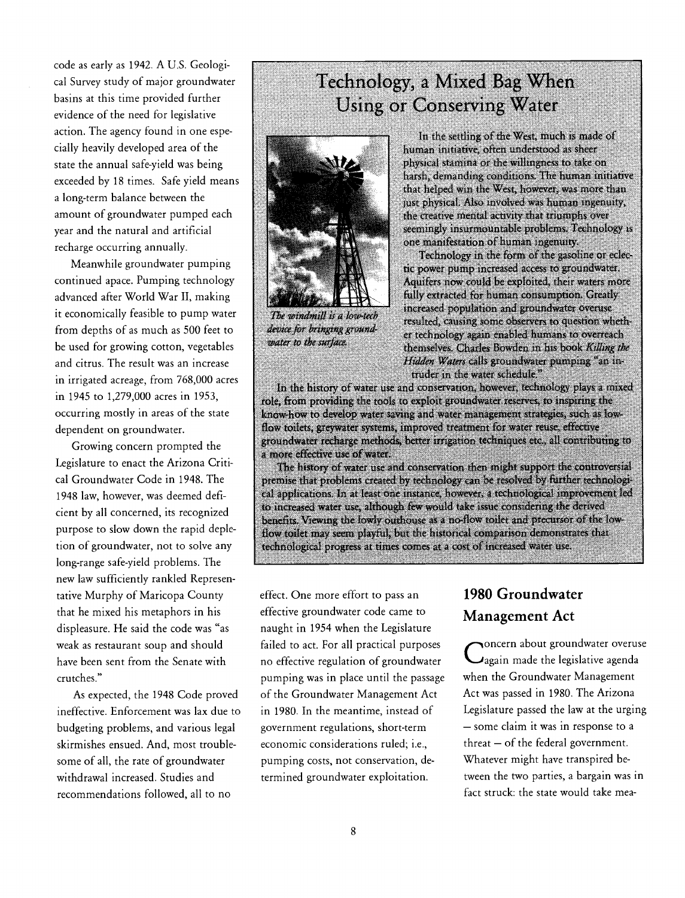code as early as 1942. A U.S. Geological Survey study of major groundwater basins at this time provided further evidence of the need for legislative action. The agency found in one especially heavily developed area of the state the annual safe-yield was being exceeded by 18 times. Safe yield means a long-term balance between the amount of groundwater pumped each year and the natural and artificial recharge occurring annually.

Meanwhile groundwater pumping continued apace. Pumping technology advanced after World War II, making it economically feasible to pump water The windmill is a low-tech from depths of as much as 500 feet to device for bringing ground-<br>he used for growing cotton wegetables be used for growing cotton, vegetables and citrus. The result was an increase in irrigated acreage, from 768,000 acres in 1945 to 1,279,000 acres in 1953, occurring mostly in areas of the state dependent on groundwater.

Growing concern prompted the Legislature to enact the Arizona Critical Groundwater Code in 1948. The 1948 law, however, was deemed deficient by all concerned, its recognized purpose to slow down the rapid depletion of groundwater, not to solve any long-range safe-yield problems. The new law sufficiently rankled Representative Murphy of Maricopa County that he mixed his metaphors in his displeasure. He said the code was "as weak as restaurant soup and should have been sent from the Senate with crutches."

As expected, the 1948 Code proved ineffective. Enforcement was lax due to budgeting problems, and various legal skirmishes ensued. And, most troublesome of all, the rate of groundwater withdrawal increased. Studies and recommendations followed, all to no

# Technology, a Mixed Bag When Using or Conserving Water



In the settling of the West, much is made of human initiative, often understood as sheer physical stamina or the willingness to take on harsh, demanding conditions. The human initiative that helped win the West, however, was more than just physical. Also involved was human ingenuity, the creative mental activity that triumphs over seemingly insurmountable problems. Technology is one manifestation of human ingenuity.

Technology in the form of the gasoline or eclectic power pump increased access to groundwater. Aquifers now could be exploited, their waters more fully extracted for human consumption. Greatly increased population and groundwater overuse resulted, causing some observers to question whether technology again enabled humans to overreach themselves. Charles Bowden in his book Killing the Hidden Waters calls groundwater pumping "an intruder in the water schedule."

In the history of water use and conservation, however, technology plays a mixed role, from providing the tools to exploit groundwater reserves to inspiring the know-how to develop water saving and water management strategies, such as lowflow toilets, greywater systems. inproved treatment for water reuse, effective groundwater recharge methòds, better irrigation techniques etc., all contributing to a more effective use of water.

The history of water use and conservation then might support the controversial premise that problems created by technology can be resolved by further technological applications. In at least one instance, however, a rechnological improvement led to increased water use, although few would take issue considering the derived benefits. Viewing the lowly outhouse as a no-flow toilet and precursor of the lowflow toilet may seem playful, but the historical comparison demonstrates that technological progress at times comes at a cost of increased water use.

effect. One more effort to pass an effective groundwater code came to naught in 1954 when the Legislature failed to act. For all practical purposes no effective regulation of groundwater pumping was in place until the passage of the Groundwater Management Act in 1980. In the meantime, instead of government regulations, short-term economic considerations ruled; i.e., pumping costs, not conservation, determined groundwater exploitation.

## 1980 Groundwater Management Act

 $\bigcup$ again made the legislative agenda oncern about groundwater overuse when the Groundwater Management Act was passed in 1980. The Arizona Legislature passed the law at the urging - some claim it was in response to a  $threat - of the federal government.$ Whatever might have transpired between the two parties, a bargain was in fact struck: the state would take mea-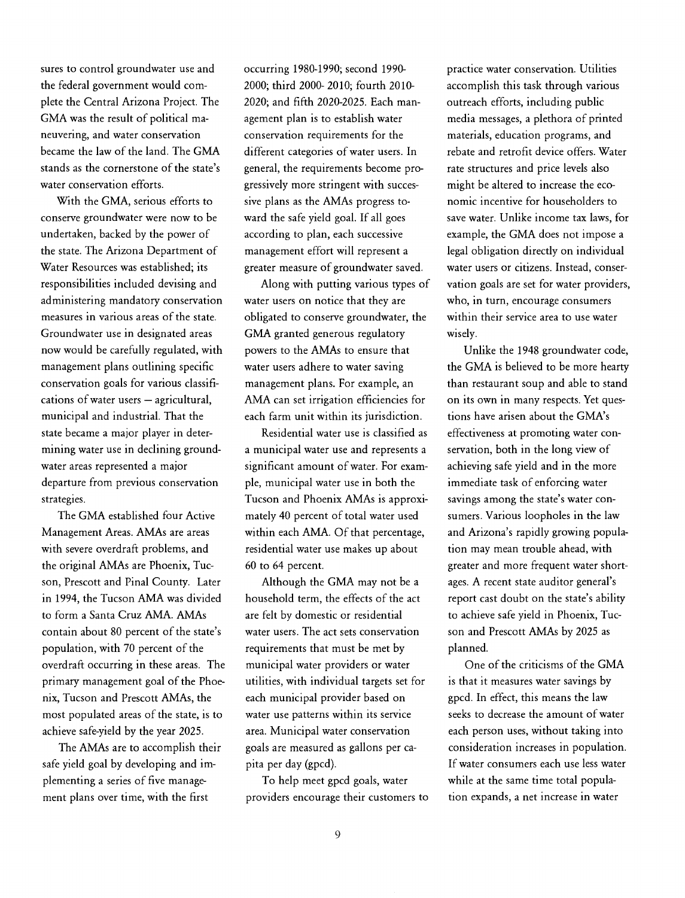sures to control groundwater use and the federal government would complete the Central Arizona Project. The GMA was the result of political maneuvering, and water conservation became the law of the land. The GMA stands as the cornerstone of the state's water conservation efforts.

With the GMA, serious efforts to conserve groundwater were now to be undertaken, backed by the power of the state. The Arizona Department of Water Resources was established; its responsibilities included devising and administering mandatory conservation measures in various areas of the state. Groundwater use in designated areas now would be carefully regulated, with management plans outlining specific conservation goals for various classifi $cations of water users – agricultural,$ municipal and industrial. That the state became a major player in determining water use in declining groundwater areas represented a major departure from previous conservation strategies.

The GMA established four Active Management Areas. AMAs are areas with severe overdraft problems, and the original AMAs are Phoenix, Tucson, Prescott and Pinal County. Later in 1994, the Tucson AMA was divided to form a Santa Cruz AMA. AMAs contain about 80 percent of the state's population, with 70 percent of the overdraft occurring in these areas. The primary management goal of the Phoenix, Tucson and Prescott AMAs, the most populated areas of the state, is to achieve safe-yield by the year 2025.

The AMAs are to accomplish their safe yield goal by developing and implementing a series of five management plans over time, with the first

occurring 1980-1990; second 1990- 2000; third 2000- 2010; fourth 2010-2020; and fifth 2020-2025. Each management plan is to establish water conservation requirements for the different categories of water users. In general, the requirements become progressively more stringent with successive plans as the AMAs progress toward the safe yield goal. If all goes according to plan, each successive management effort will represent a greater measure of groundwater saved.

Along with putting various types of water users on notice that they are obligated to conserve groundwater, the GMA granted generous regulatory powers to the AMAs to ensure that water users adhere to water saving management plans. For example, an AMA can set irrigation efficiencies for each farm unit within its jurisdiction.

Residential water use is classified as a municipal water use and represents a significant amount of water. For example, municipal water use in both the Tucson and Phoenix AMAs is approximately 40 percent of total water used within each AMA. Of that percentage, residential water use makes up about 60 to 64 percent.

Although the GMA may not be a household term, the effects of the act are felt by domestic or residential water users. The act sets conservation requirements that must be met by municipal water providers or water utilities, with individual targets set for each municipal provider based on water use patterns within its service area. Municipal water conservation goals are measured as gallons per capita per day (gpcd).

To help meet gpcd goals, water providers encourage their customers to practice water conservation. Utilities accomplish this task through various outreach efforts, including public media messages, a plethora of printed materials, education programs, and rebate and retrofit device offers. Water rate structures and price levels also might be altered to increase the economic incentive for householders to save water. Unlike income tax laws, for example, the GMA does not impose a legal obligation directly on individual water users or citizens. Instead, conservation goals are set for water providers, who, in turn, encourage consumers within their service area to use water wisely.

Unlike the 1948 groundwater code, the GMA is believed to be more hearty than restaurant soup and able to stand on its own in many respects. Yet questions have arisen about the GMA's effectiveness at promoting water conservation, both in the long view of achieving safe yield and in the more immediate task of enforcing water savings among the state's water consumers. Various loopholes in the law and Arizona's rapidly growing population may mean trouble ahead, with greater and more frequent water shortages. A recent state auditor general's report cast doubt on the state's ability to achieve safe yield in Phoenix, Tucson and Prescott AMAs by 2025 as planned.

One of the criticisms of the GMA is that it measures water savings by gpcd. In effect, this means the law seeks to decrease the amount of water each person uses, without taking into consideration increases in population. If water consumers each use less water while at the same time total population expands, a net increase in water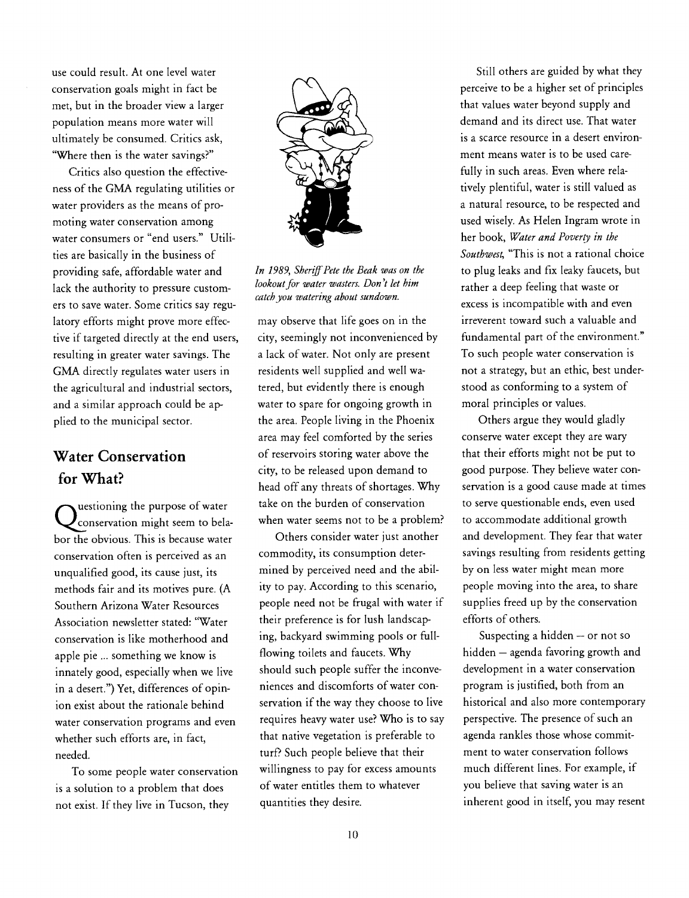use could result. At one level water conservation goals might in fact be met, but in the broader view a larger population means more water will ultimately be consumed. Critics ask, "Where then is the water savings?"

Critics also question the effectiveness of the GMA regulating utilities or water providers as the means of promoting water conservation among water consumers or "end users." Utilities are basically in the business of providing safe, affordable water and lack the authority to pressure customers to save water. Some critics say regulatory efforts might prove more effective if targeted directly at the end users, resulting in greater water savings. The GMA directly regulates water users in the agricultural and industrial sectors, and a similar approach could be applied to the municipal sector.

## Water Conservation for What?

uestioning the purpose of water conservation might seem to belabor the obvious. This is because water conservation often is perceived as an unqualified good, its cause just, its methods fair and its motives pure. (A Southern Arizona Water Resources Association newsletter stated: "Water conservation is like motherhood and apple pie ... something we know is innately good, especially when we live in a desert.") Yet, differences of opinion exist about the rationale behind water conservation programs and even whether such efforts are, in fact, needed.

To some people water conservation is a solution to a problem that does not exist. If they live in Tucson, they



In 1989, Sheriff Pete the Beak was on the lookout for water wasters. Don 't let him catch you watering about sundown.

may observe that life goes on in the city, seemingly not inconvenienced by a lack of water. Not only are present residents well supplied and well watered, but evidently there is enough water to spare for ongoing growth in the area. People living in the Phoenix area may feel comforted by the series of reservoirs storing water above the city, to be released upon demand to head off any threats of shortages. Why take on the burden of conservation when water seems not to be a problem?

Others consider water just another commodity, its consumption determined by perceived need and the ability to pay. According to this scenario, people need not be frugal with water if their preference is for lush landscaping, backyard swimming poois or fullflowing toilets and faucets. Why should such people suffer the inconveniences and discomforts of water conservation if the way they choose to live requires heavy water use? Who is to say that native vegetation is preferable to turf? Such people believe that their willingness to pay for excess amounts of water entitles them to whatever quantities they desire.

Still others are guided by what they perceive to be a higher set of principles that values water beyond supply and demand and its direct use. That water is a scarce resource in a desert environment means water is to be used carefully in such areas. Even where relatively plentiful, water is still valued as a natural resource, to be respected and used wisely. As Helen Ingram wrote in her book, Water and Poverty in the Southwest, "This is not a rational choice to plug leaks and fix leaky faucets, but rather a deep feeling that waste or excess is incompatible with and even irreverent toward such a valuable and fundamental part of the environment." To such people water conservation is not a strategy, but an ethic, best understood as conforming to a system of moral principles or values.

Others argue they would gladly conserve water except they are wary that their efforts might not be put to good purpose. They believe water conservation is a good cause made at times to serve questionable ends, even used to accommodate additional growth and development. They fear that water savings resulting from residents getting by on less water might mean more people moving into the area, to share supplies freed up by the conservation efforts of others.

Suspecting a hidden - or not so hidden - agenda favoring growth and development in a water conservation program is justified, both from an historical and also more contemporary perspective. The presence of such an agenda rankles those whose commitment to water conservation follows much different lines. For example, if you believe that saving water is an inherent good in itself, you may resent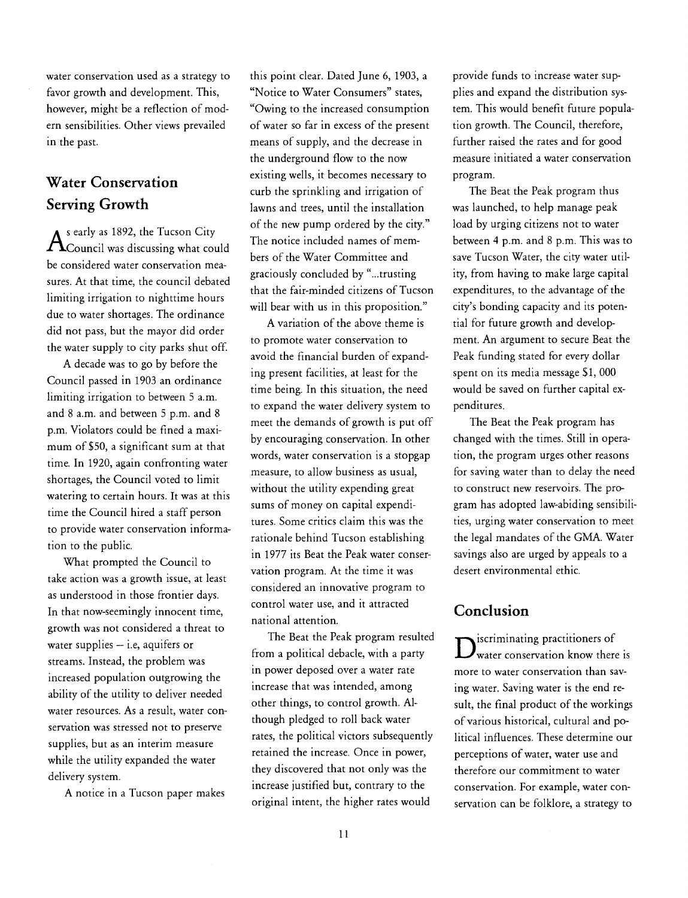water conservation used as a strategy to favor growth and development. This, however, might be a reflection of modern sensibilities. Other views prevailed in the past.

## Water Conservation Serving Growth

 $A<sup>s</sup>$  early as 1892, the Tucson City<br>The Council was discussing what could Council was discussing what could  $\frac{1}{2}$ be considered water conservation measures. At that time, the council debated limiting irrigation to nighttime hours due to water shortages. The ordinance did not pass, but the mayor did order the water supply to city parks shut off.

A decade was to go by before the Council passed in 1903 an ordinance limiting irrigation to between 5 a.m. and 8 a.m. and between 5 p.m. and 8 p.m. Violators could be fined a maximum of \$50, a significant sum at that time. In 1920, again confronting water shortages, the Council voted to limit watering to certain hours. It was at this time the Council hired a staff person to provide water conservation information to the public.

What prompted the Council to take action was a growth issue, at least as understood in those frontier days. In that now-seemingly innocent time, growth was not considered a threat to water supplies  $-$  i.e, aquifers or streams. Instead, the problem was increased population outgrowing the ability of the utility to deliver needed water resources. As a result, water conservation was stressed not to preserve supplies, but as an interim measure while the utility expanded the water delivery system.

A notice in a Tucson paper makes

this point clear. Dated June 6, 1903, a "Notice to Water Consumers" states, "Owing to the increased consumption of water so far in excess of the present means of supply, and the decrease in the underground flow to the now existing wells, it becomes necessary to curb the sprinkling and irrigation of lawns and trees, until the installation of the new pump ordered by the city." The notice included names of members of the Water Committee and graciously concluded by "...trusting that the fair-minded citizens of Tucson will bear with us in this proposition."

A variation of the above theme is to promote water conservation to avoid the financial burden of expanding present facilities, at least for the time being. In this situation, the need to expand the water delivery system to meet the demands of growth is put off by encouraging conservation. In other words, water conservation is a stopgap measure, to allow business as usual, without the utility expending great sums of money on capital expenditures. Some critics claim this was the rationale behind Tucson establishing in 1977 its Beat the Peak water conservation program. At the time it was considered an innovative program to control water use, and it attracted national attention.

The Beat the Peak program resulted from a political debacle, with a party in power deposed over a water rate increase that was intended, among other things, to control growth. Although pledged to roll back water rates, the political victors subsequently retained the increase. Once in power, they discovered that not only was the increase justified but, contrary to the original intent, the higher rates would

provide funds to increase water supplies and expand the distribution system. This would benefit future population growth. The Council, therefore, further raised the rates and for good measure initiated a water conservation program.

The Beat the Peak program thus was launched, to help manage peak load by urging citizens not to water between 4 p.m. and 8 p.m. This was to save Tucson Water, the city water utility, from having to make large capital expenditures, to the advantage of the city's bonding capacity and its potential for future growth and development. An argument to secure Beat the Peak funding stated for every dollar spent on its media message \$1, 000 would be saved on further capital expenditures.

The Beat the Peak program has changed with the times. Still in operation, the program urges other reasons for saving water than to delay the need to construct new reservoirs. The program has adopted law-abiding sensibilities, urging water conservation to meet the legal mandates of the GMA. Water savings also are urged by appeals to a desert environmental ethic.

#### Conclusion

 $\bm{D}$ water conservation know t practitioners of water conservation know there is more to water conservation than saying water. Saving water is the end result, the final product of the workings of various historical, cultural and political influences. These determine our perceptions of water, water use and therefore our commitment to water conservation. For example, water conservation can be folklore, a strategy to